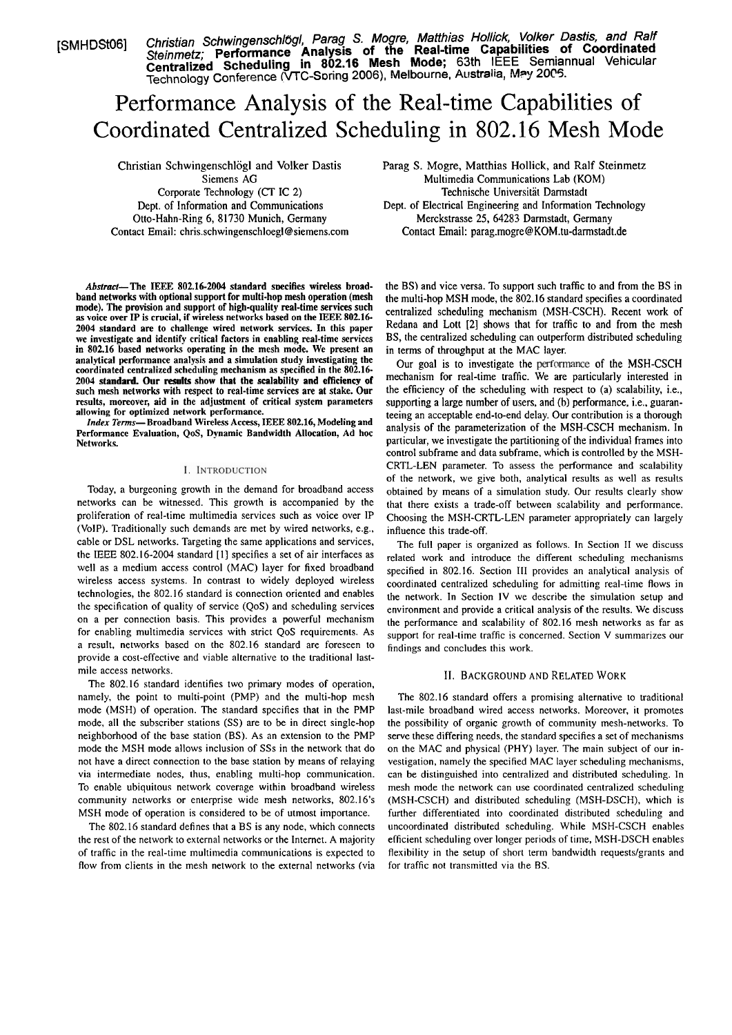**[SMHDSMS] Christian SchwingenschlOgl, Pa47 S. MOgE, Matihias Hollick, Volker Dastis, and Ralf Steinmetz; PerFonnance Analysis of the Real-time Capabilities of Coordinated Centralized Scheduling in 802.16 Mesh Mode; 63th IEEE** Semiannual **Vehicular**  Technology Conference (VTC-Soring 2006), Melbourne, Australia, May 2005.

# Performance Analysis of the Real-time Capabilities of Coordinated Centralized Scheduling in 802.16 Mesh Mode

Corporate Technology (CT IC 2)<br>Dept. of Information and Communications<br>Dept. of Electrical Engineering and Information

band networks with optional support for multi-hop mesh operation (mesh the multi-hop MSH mode, the 802.16 standard specifies a coordinated mode). The provision and support of high-quality real-time services such controlize mode). The provision and support of high-quality real-time services such centralized scheduling mechanism (MSH-CSCH). Recent work of ass voice over IP is crucial, if wireless networks based on the IEEE 802.16-<br>2004 standar 2004 standard are to challenge wired network services. In this paper we investigate and identify critical factors in enabling real-time services in 802.16 based networks operating in the mesh mode. We present an in terms of throughput at the MAC layer.<br>
analytical performance analysis and a simulation study investigating the Our goal is to investigate the performan analytical performance analytical scheduling mechanism as specified in the 802.16-<br>coordinated centralized scheduling mechanism as specified in the 802.16- **Dureafted scheding the MSH-CSCH coordinated** in 2004 at a particu 2004 standard. Our results show that the scalability and efficiency of mechanism for real-time traffic. We are particularly interested in<br>such mesh networks with respect to real-time services are at stake. Our the efficien such mesh networks with respect to real-time services are at stake. Our results, moreover, aid in the adjustment of critical system parameters

Performance Evaluation, QoS, Dynamic Bandwidth Allocation, Ad hoc Networks.

# I. INTRODUCTION

Today, a bugeoning growth in the demand for broadband access networks can be witnessed. This growth is accompanied by the proliferation of real-time multimedia services such as voice over IP (VoIP). Traditionally such demands are met by wired networks, e.g., cable or DSL networks. Targeting the same applications and services, the IEEE 802.16-2004 standard [I] specifies a set of air interfaces as well as a medium access control (MAC) layer for fixed broadband wireless access Systems. In contrast to widely deployed wireless technologies, the 802.16 standard is connection oriented and enables the specification of quality of service (QoS) and scheduling services on a per connection basis. This provides a powerful mechanism for enabling multimedia services with strict QoS requirements. As a result, networks based on the 802.16 standard are foreseen to provide a cost-effective and viable alternative to the traditional lastmile access networks.

The 802.16 standard identifies two primary modes of operation, namely, the point to multi-point (PMP) and the multi-hop mesh mode (MSH) of operation. The standard specifies that in the PMP mode, all the subscriber stations (SS) are to be in direct single-hop neighborhood of the base station (BS). As an extension to the PMP mode the MSH mode allows inclusion of SSs in the network that do not have a direct connection to the base station by means of relaying via intermediate nodes, thus, enabling multi-hop communication. To enable ubiquitous network coverage within broadband wireless community networks or enterprise wide mesh networks, 802.16's MSH mode of operation is considered to be of utmost importance.

The 802.16 standard defines that a BS is any node, which connects the rest of the network to external networks or the Internet. A majority of traffic in the real-time multimedia communications is expected to flow from clients in the mesh network to the external networks (via

Christian Schwingenschlögl and Volker Dastis Parag S. Mogre, Matthias Hollick, and Ralf Steinmetz Siemens AG **Multimedia Communications Lab** (KOM) Dept. of Electrical Engineering and Information Technology Otto-Hahn-Ring 6, 81730 Munich, Germany Merckstrasse 25, 64283 Darmstadt, Germany Contact Email: chris.schwingenschloegl@siemens.com Contact Email: parag.mogre@KOM.tu-darmstadt.de

Abstract-The IEEE 802.16-2004 standard specifies wireless broad-<br>he multi-hop MSH mode the 802.16 standard specifies a coordinated<br>he multi-hop MSH mode the 802.16 standard specifies a coordinated BS, the centralized scheduling can outperform distributed scheduling

results, moreover, aid in the adjustment of critical system parameters supporting a large number of users, and (b) performance, i.e., guaran-<br>allowing for optimized network performance.<br>*Index Terms*— Broadband Wireless Ac particular, we investigate the partitioning of the individual frames into control subframe and data subframe, which is controlled by the MSH-CRTL-LEN parameter. To assess the performance and scalability of the network, we give both, analytical results as well as results obtained by means of a simulation study. Our results clearly show that there exists a trade-off between scalability and performance. Choosing the MSH-CRTL-LEN parameter appropriately can largely influence this trade-off.

> The full paper is organized as follows. In Section I1 we discuss related work and introduce the different scheduling mechanisms specified in 802.16. Section 111 provides an analytical analysis of coordinated centralized scheduling for admitting real-time flows in the network. In Section IV we describe the simulation setup and environment and provide a critical analysis of the results. We discuss the performance and scalability of 802.16 mesh networks as far as support for real-time traffic is concerned. Section V summarizes our findings and concludes this work.

#### 11. BACKGROUND AND RELATED WORK

The 802.16 standard offers a promising alternative to traditional last-mile broadband wired access networks. Moreover, it promotes the possibility of organic growth of community mesh-networks. To serve these differing needs, the standard specifies a set of mechanisms on the MAC and physical (PHY) layer. The main subject of our investigation, namely the specified MAC layer scheduling mechanisms, can be distinguished into centralized and distributed scheduling. In mesh mode the network can use coordinated centralized scheduling (MSH-CSCH) and distributed scheduling (MSH-DSCH), which is further differentiated into coordinated distributed scheduling and uncoordinated distributed scheduling. While MSH-CSCH enables efficient scheduling over longer periods of time, MSH-DSCH enables flexibility in the setup of short term bandwidth requests/grants and for traffic not transmitted via the BS.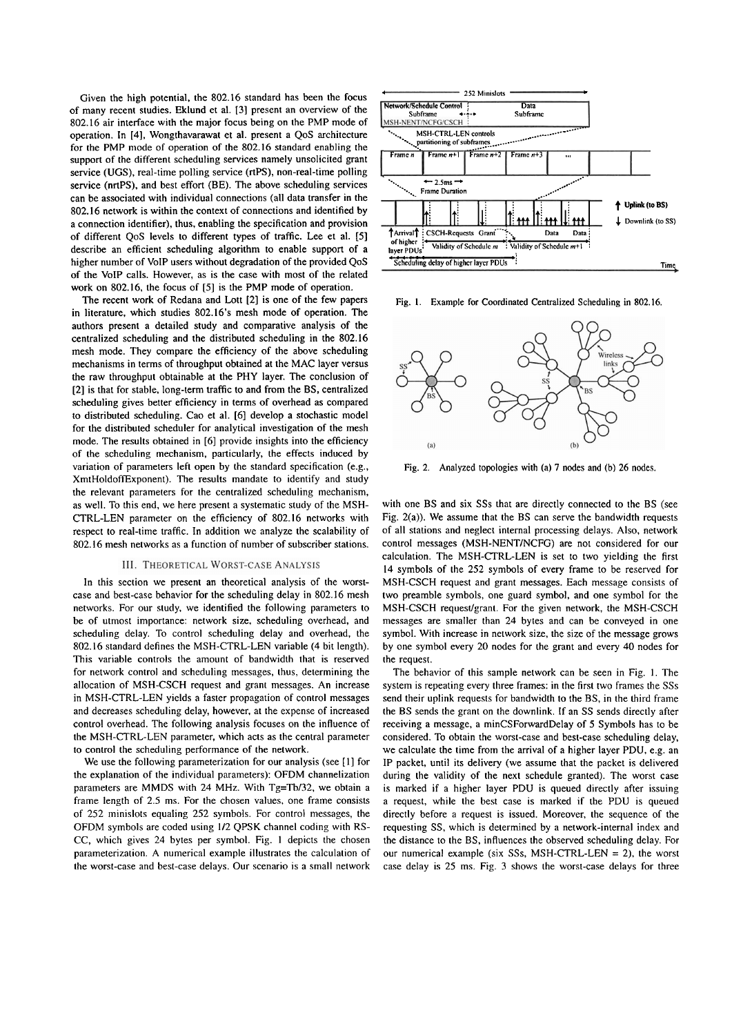Given the high potential, the 802.16 standard has been the focus of many recent studies. Eklund et al. [3] present an overview of the 802.16 air interface with the major focus being on the PMP mode of operation. In [4], Wongthavarawat et al. present a QoS architecture for the PMP mode of operation of the 802.16 standard enabling the support of the different scheduling sewices namely unsolicited grant service (UGS), real-time polling service (rtPS), non-real-time polling service (nrtPS), and best effort (BE). The above scheduling services can be associated with individual connections (all data transfer in the 802.16 network is within the context of connections and identified by a connection identifier), thus, enabling the specification and provision of different QoS levels to different types of traffic. Lee et al. [5] describe an efficient scheduling algorithm to enable support of a higher number of VolP users without degradation of the provided QoS of the VoIP calls. However, as is the case with most of the related work on 802.16, the focus of [5] is the PMP mode of operation.

The recent work of Redana and Lott [2] is one of the few papers in literature, which studies 802.16's mesh mode of operation. The authors present a detailed study and comparative analysis of the centralized scheduling and the distributed scheduling in the 802.16 mesh mode. They compare the efficiency of the above scheduling mechanisms in terms of throughput obtained at the MAC layer versus the raw throughput obtainable at the PHY layer. The conclusion of [2] is that for stable, long-term traffic to and from the BS, centralized scheduling gives better efficiency in terms of overhead as compared to distributed scheduling. Cao et al. [6] develop a stochastic model for the distributed scheduler for analytical investigation of the mesh mode. The results obtained in [6] provide insights into the efficiency of the scheduling mechanism, particularly, the effects induced by variation of parameters left open by the standard specification (e.g., XmtHoldoffExponent). The results mandate to identify and study the relevant parameters for the centralized scheduling mechanism, as well. To this end, we here present a systematic study of the MSH-CTRL-LEN parameter on the efficiency of 802.16 networks with respect to real-time traffic. In addition we analyze the scalability of 802.16 mesh networks as a function of number of subscriber stations.

# III. THEORETICAL WORST-CASE ANALYSIS

In this section we present an theoretical analysis of the worstcase and best-case behavior for the scheduling delay in 802.16 mesh networks. For our study, we identified the following parameters to be of utmost importance: network size, scheduling overhead, and scheduling delay. To control scheduling delay and overhead, the 802.16 standard defines the MSH-CTRL-LEN variable (4 bit length). This variable controls the amount of bandwidth that is reserved for network control and scheduling messages, thus, determining the allocation of MSH-CSCH request and grant messages. An increase in MSH-CTRL-LEN yields a faster propagation of control messages and decreases scheduling delay, however, at the expense of increased control overhead. The following analysis focuses on the influence of the MSH-CTRL-LEN parameter, which acts as the central parameter to control the scheduling performance of the network.

We use the following parameterization for our analysis (see [l] for the explanation of the individual parameters): OFDM channelization parameters are MMDS with 24 MHz. With Tg=Tb/32, we obtain a frame length of 2.5 ms. For the chosen values, one frame consists of 252 minislots equaling 252 symbols. For control messages, the OFDM symbols are coded using 112 QPSK channel coding with RS-CC, which gives 24 bytes per symbol. Fig. 1 depicts the chosen parameterization. A numerical example illustrates the calculation of the worst-case and best-case delays. Our scenario is a mall network



Fig. I. Example for Coordinated Centralized Scheduling in 802.16.



Fig. 2. Analyzed ropologies with (a) 7 nodes and (b) 26 nodes.

with one BS and six SSs that are directly connected to the BS (see Fig. 2(a)). We assume that the BS can serve the bandwidth requests of all stations and neglect internal processing delays. Also, network control messages (MSH-NENTINCFG) are not considered for our calculation. The MSH-CTRL-LEN is Set to two yielding the first 14 symbols of the 252 symbols of every frame to be reserved for MSH-CSCH request and grant messages. Each message consists of two preamble symbols, one guard symbol, and one symbol for the MSH-CSCH request/grant. For the given network, the MSH-CSCH messages are smaller than 24 bytes and can be conveyed in one symbol. With increase in network size, the size of the message grows by one symbol every 20 nodes for the grant and every 40 nodes for ihe request.

The behavior of this sample network can be seen in Fig. 1. The system is repeating every three frames: in the first two frames the SSs send their uplink requests for bandwidth to the BS, in the third frame the BS sends the grant on the downlink. If an SS sends directly after receiving a message, a minCSForwardDelay of 5 Symbols has to be considered. To obtain the worst-case and best-case scheduling delay, we calculate the time from the arrival of a higher layer PDU, e.g. an IP packet, until its delivery (we assume that the packet is delivered during the validity of the next schedule granted). The worst case is marked if a higher layer PDU is queued directly after issuing a request, while the best case is marked if the PDU is queued directly before a request is issued. Moreover, the sequence of the requesting SS, which is determined by a network-internal index and the distance to the BS, influences the observed scheduling delay. For our numerical example (six SSs, MSH-CTRL-LEN = 2), the worst case delay is 25 ms. Fig. 3 shows the worst-case delays for three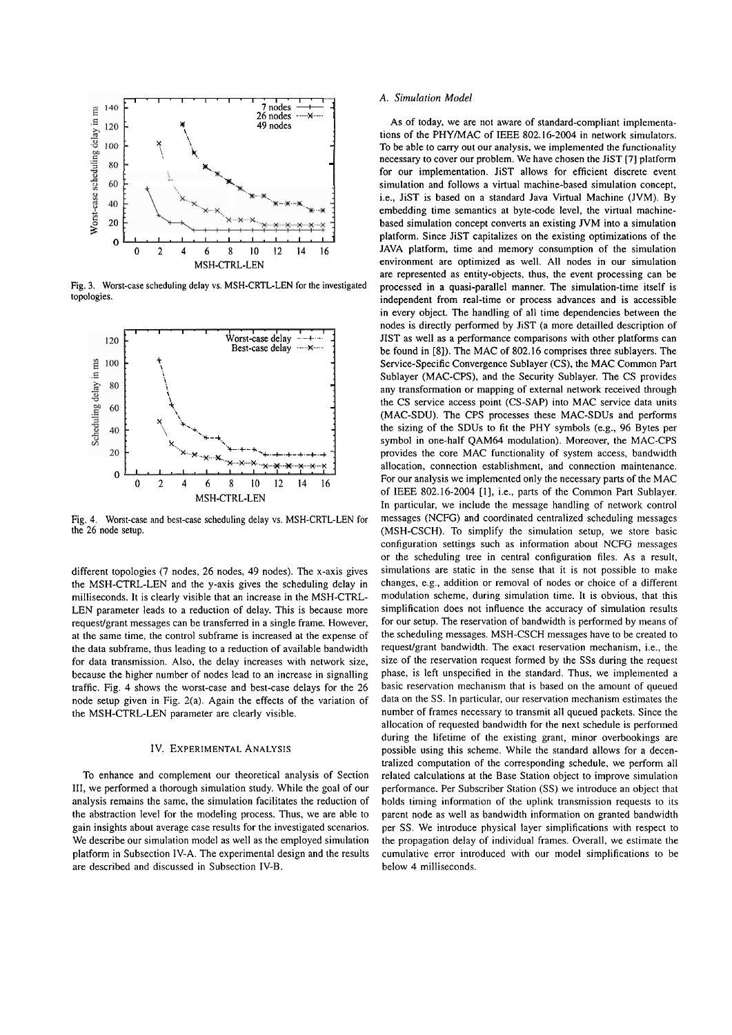

Fig. **3.** Worst-case scheduling delay vs. MSH-CRTL-LEN for the investigated topologies.



Fig. **4.** Worst-case and best-case scheduling delay vs. MSH-CRTL-LEN for the **26** node setup.

different topologies (7 nodes, 26 nodes, 49 nodes). The X-axis gives the MSH-CTRL-LEN and the y-axis gives the scheduling delay in milliseconds. It is clearly visible that an increase in the MSH-CTRL-LEN parameter leads to a reduction of delay. This is because more request/grant messages can be transferred in a single frame. However, at the Same time, the control subframe is increased at the expense of the data subframe, thus leading to a reduction of available bandwidth for data transmission. Also. the delay increases with network size, because the higher number of nodes lead to an increase in signalling traffic. Fig. 4 shows the worst-case and best-case delays for the 26 node setup given in Fig. 2(a). Again the effects of the variation of the MSH-CTRL-LEN parameter are clearly visible.

# IV. EXPERIMENTAL ANALYSIS

To enhance and complement our theoretical analysis of Section 111, we performed a thorough simulation study. While the goal of our analysis remains the Same, the simulation facilitates the reduction of the abstraction level for the modeling process. Thus, we are able to gain insights about average case results for the investigated scenarios. We describe our simulation model as well as the employed simulation platform in Subsection IV-A. The experimental design and the results are described and discussed in Subsection IV-B.

As of today, we are not aware of standard-compliant implementations of the PHY/MAC of IEEE 802.16-2004 in network simulators. To be able to carry out our analysis, we implemented the functionality necessary to cover our problem. We have chosen the JiST [7] platform for our implementation. JiST allows for efficient discrete event simulation and follows a virtual machine-based simulation concept, i.e., JiST is based on a standard Java Virtual Machine (JVM). By embedding time semantics at byte-code level, the virtual machinebased simulation concept converts an existing JVM into a simulation platform. Since JiST capitalizes on the existing optimizations of the JAVA platform, time and memory consumption of the simulation environment are optimized as well. All nodes in our simulation are represented as entity-objects, thus, the event processing can be processed in a quasi-parallel manner. The simulation-time itself is independent from real-time or process advances and is accessible in every object. The handling of all time dependencies between the nodes is directly performed by JiST (a more detailled description of JIST as well as a performance comparisons with other platforms can be found in [8]). The MAC of 802.16 comprises three sublayers. The Service-Specific Convergence Sublayer (CS), the MAC Common Part Sublayer (MAC-CPS), and the Security Sublayer. The CS provides any transformation or mapping of external network received through the CS service access point (CS-SAP) into MAC service data units (MAC-SDU). The CPS processes these MAC-SDUs and performs the sizing of the SDUs to fit the PHY symbols (e.g., 96 Bytes per symbol in one-half QAM64 modulation). Moreover, the MAC-CPS provides the core MAC functionality of System access, bandwidth allocation, connection establishment, and connection maintenance. For our analysis we implemented only the necessary parts of the MAC of IEEE 802.16-2004 [I], i.e., parts of the Common Part Sublayer. In particular, we include the message handling of network control messages (NCFG) and coordinated centralized scheduling messages (MSH-CSCH). To simplify the simulation setup, we store basic configuration settings such as information about NCFG messages or the scheduling tree in central configuration files. As a result, simulations are static in the sense that it is not possible to make changes, e.g., addition or removal of nodes or choice of a different modulation scheme, during simulation time. It is obvious, that this simplification does not influence the accuracy of simulation results for our setup. The reservation of bandwidth is performed by means of the scheduling messages. MSH-CSCH messages have to be created to request/grant bandwidth. The exact reservation mechanism, i.e., the size of the reservation request formed by the SSs during the request phase, is left unspecified in the standard. Thus. we implemented a basic reservation mechanism that is based on the amount of queued data on the SS. In particular, our reservation mechanism estimates the number of frames necessary to transmit all queued packets. Since the allocation of requested bandwidth for the next schedule is perforined during the lifetime of the existing grant, minor overbookings are possible using this scheme. While the standard allows for a decentralized computation of the corresponding schedule, we perform all related calculations at the Base Station object to improve simulation performance. Per Subscriber Station (SS) we introduce an object that holds timing information of the uplink transmission requests to its parent node as well as bandwidth information on granted bandwidth per SS. We introduce physical layer simplifications with respect to the propagation delay of individual frames. Overall, we estimate the cumulative error introduced with our model simplifications to be below 4 milliseconds.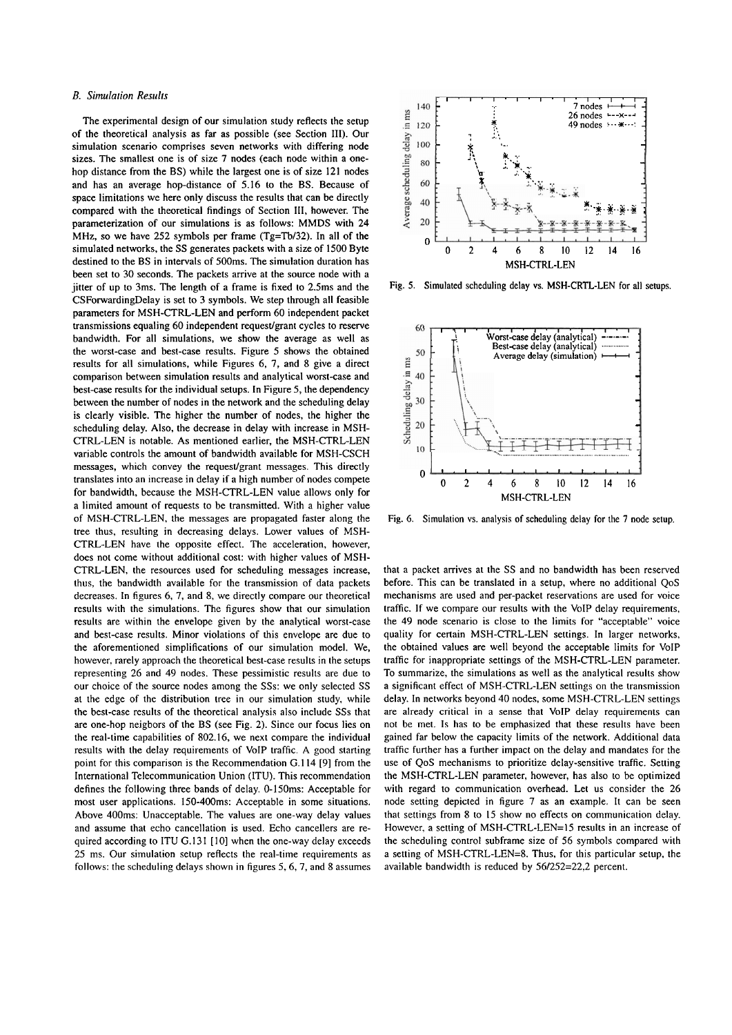#### *B. Simulation* **Reslrlrs**

The experimental design of our simulation study reflects the setup of the theoretical analysis as far as possible (see Section 111). Our simulation scenario comprises seven networks with differing node sizes. The smallest one is of size 7 nodes (each node within a onehop distance from the BS) while the largest one is of size 121 nodes and has an average hop-distance of 5.16 to the BS. Because of space limitations we here only discuss the results that can be directly compared with the theoretical findings of Section 111, however. The parameterization of our simulations is as follows: MMDS with 24 MHz, so we have 252 symbols per frame  $(Tg=Tb/32)$ . In all of the simulated networks, the SS generates packets with a size of 1500 Byte destined to the BS in intervals of 500ms. The simulation duration has been set to 30 seconds. The packets arrive at the source node with a jitter of up to 3ms. The length of a frame is fixed to 2.5ms and the CSForwardingDelay is set to 3 symbols. We step through all feasible parameters for MSH-CTRL-LEN and perform 60 independent packet transmissions equaling 60 independent request/grant cycles to reserve bandwidth. For all simulations, we show the average as well as the worst-case and best-case results. Figure 5 shows the obtained results for all simulations, while Figures 6, 7, and 8 give a direct comparison between simulation results and analytical worst-case and best-case results for the individual setups. In Figure 5, the dependency between the number of nodes in the network and the scheduling delay is clearly visible. The higher the number of nodes, the higher the scheduling delay. Also, the decrease in delay with increase in MSH-CTRL-LEN is notable. As mentioned earlier, the MSH-CTRL-LEN variable controls the amount of bandwidth available for MSH-CSCH messages, which convey the request/grant messages. This directly translates into an increase in delay if a high number of nodes compete for bandwidth, because the MSH-CTRL-LEN value allows only for a limited amount of requests to be transmitted. With a higher value of MSH-CTRL-LEN, the messages are propagated faster along the tree thus, resulting in decreasing delays. Lower values of MSH-CTRL-LEN have the opposite effect. The acceleration, however, does not come without additional cost: with higher values of MSH-CTRL-LEN, the resources used for scheduling messages increase, thus, the bandwidth available for the transmission of data packets decreases. In figures 6, 7, and 8, we directly compare our theoretical results with the simulations. The figures show that our simulation results are within the envelope given by the analytical worst-case and best-case results. Minor violations of this envelope are due to the aforementioned simplifications of our simulation model. We, however, rarely approach the theoretical best-case results in the setups representing 26 and 49 nodes. These pessimistic results are due to our choice of the source nodes among the SSs: we only selected SS at the edge of the distribution tree in our simulation study, while the best-case results of the theoretical analysis also include SSs that are one-hop neigbors of the BS (see Fig. 2). Since our focus lies on the real-time capabilities of 802.16, we next compare the individual results with the delay requirements of VoIP traffic. A good staning point for this comparison is the Recommendation G.114 [9] from the International Telecommunication Union (ITU). This recommendation defines the following three bands of delay. 0-150ms: Acceptable for most user applications. 150-400ms: Acceptable in some situations. Above 400ms: Unacceptable. The values are one-way delay values and assume that echo cancellation is used. Echo cancellers are required according to ITU G.131 [10] when the one-way delay exceeds 25 ms. Our simulation setup reflects the real-time requirements as follows: the scheduling delays shown in figures 5,6,7, and 8 assumes



Fig. 5. Simulated scheduling delay vs. MSH-CRTL-LEN for all setups.



Fig. 6. Simulation vs. analysis of scheduling delay for the 7 node setup.

that a packet arrives at the SS and no bandwidth has been reserved before. This can be translated in a setup, where no additional QoS mechanisms are used and per-packet reservations are used for voice traffic. If we compare our results with the VoIP delay requirements, the 49 node scenario is close to the limits for "acceptable" voice quality for certain MSH-CTRL-LEN settings. In larger networks, the obtained values are well beyond the acceptable limits for VoIP traffic for inappropriate settings of the MSH-CTRL-LEN pararneter. To summarize, the simulations as well as the analytical results show a significant effect of MSH-CTRL-LEN settings on the transmission delay. In networks beyond 40 nodes, some MSH-CTRL-LEN settings are already critical in a sense that VoIP delay requirements can not be met. 1s has to be emphasized that these results have been gained far below the capacity limits of the network. Additional data traffic further has a further impact on the delay and mandates for the use of QoS mechanisms to prioritize delay-sensitive traffic. Setting the MSH-CTRL-LEN pararneter, however, has also to be optimized with regard to communication overhead. Let us consider the 26 node setting depicted in figure 7 as an example. It can be seen that settings from 8 to 15 show no effects on communication delay. However, a setting of MSH-CTRL-LEN=15 results in an increase of the scheduling control subframe size of 56 symbols compared with a setting of MSH-CTRL-LEN=8. Thus, for this particular setup, the available bandwidth is reduced by 56/252=22.2 percent.